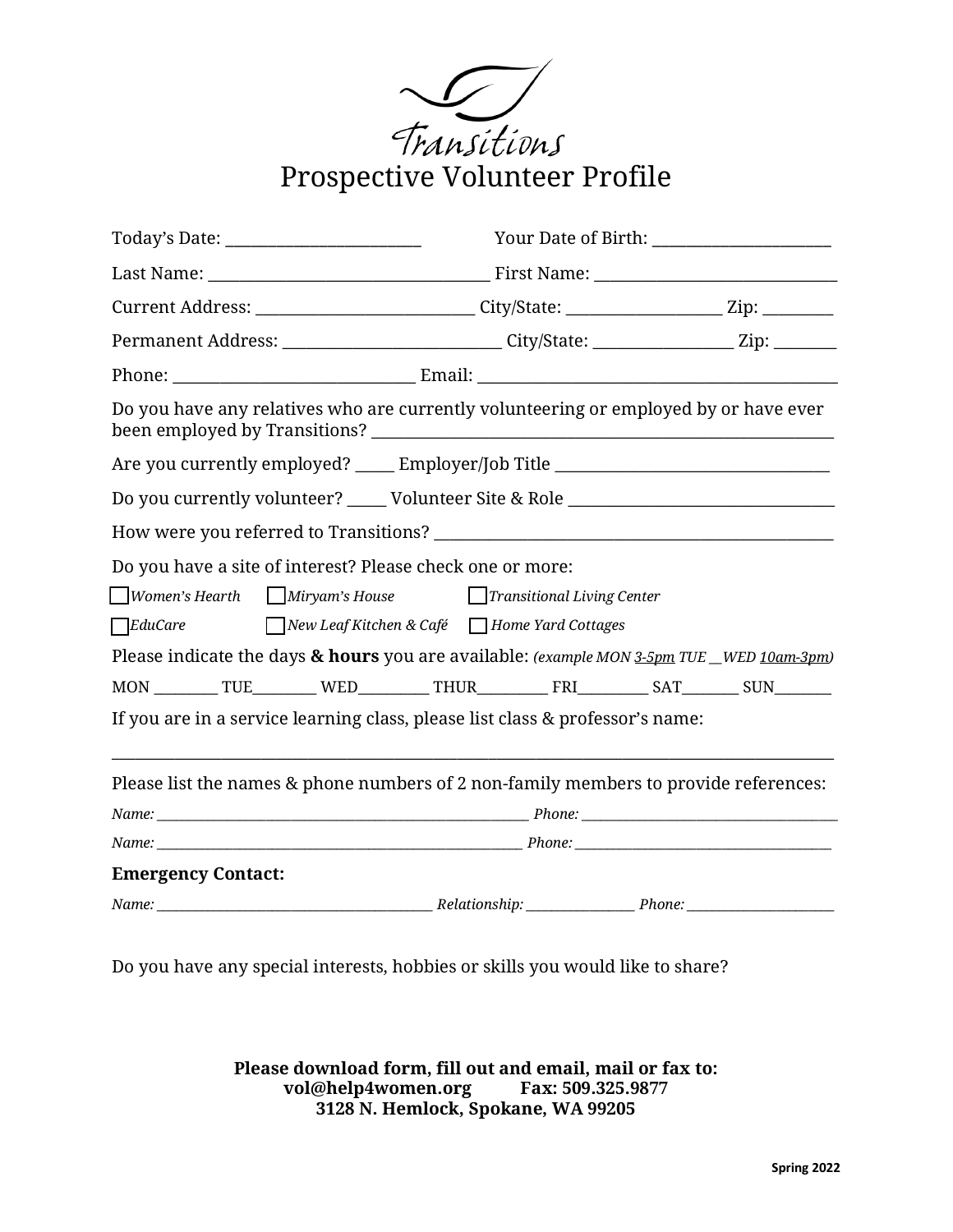

|                                                                                                    | Your Date of Birth: _______________________ |  |  |  |
|----------------------------------------------------------------------------------------------------|---------------------------------------------|--|--|--|
|                                                                                                    |                                             |  |  |  |
| Current Address: ___________________________City/State: ____________________Zip: __________        |                                             |  |  |  |
| Permanent Address: ____________________________City/State: __________________Zip: ________         |                                             |  |  |  |
|                                                                                                    |                                             |  |  |  |
| Do you have any relatives who are currently volunteering or employed by or have ever               |                                             |  |  |  |
| Are you currently employed? _____ Employer/Job Title ___________________________                   |                                             |  |  |  |
| Do you currently volunteer? ______ Volunteer Site & Role _______________________                   |                                             |  |  |  |
|                                                                                                    |                                             |  |  |  |
| Do you have a site of interest? Please check one or more:                                          |                                             |  |  |  |
| $\Box$ Women's Hearth $\Box$ Miryam's House $\Box$ Transitional Living Center                      |                                             |  |  |  |
| □ New Leaf Kitchen & Café □ Home Yard Cottages<br>$\Box$ EduCare                                   |                                             |  |  |  |
| Please indicate the days & hours you are available: (example MON 3-5pm TUE _WED 10am-3pm)          |                                             |  |  |  |
| MON __________ TUE__________ WED___________ THUR____________ FRI__________ SAT________ SUN________ |                                             |  |  |  |
| If you are in a service learning class, please list class & professor's name:                      |                                             |  |  |  |
| Please list the names & phone numbers of 2 non-family members to provide references:               |                                             |  |  |  |
|                                                                                                    |                                             |  |  |  |
|                                                                                                    |                                             |  |  |  |
| <b>Emergency Contact:</b>                                                                          |                                             |  |  |  |
|                                                                                                    |                                             |  |  |  |

Do you have any special interests, hobbies or skills you would like to share?

**Please download form, fill out and email, mail or fax to: vol@help4women.org Fax: 509.325.9877 3128 N. Hemlock, Spokane, WA 99205**